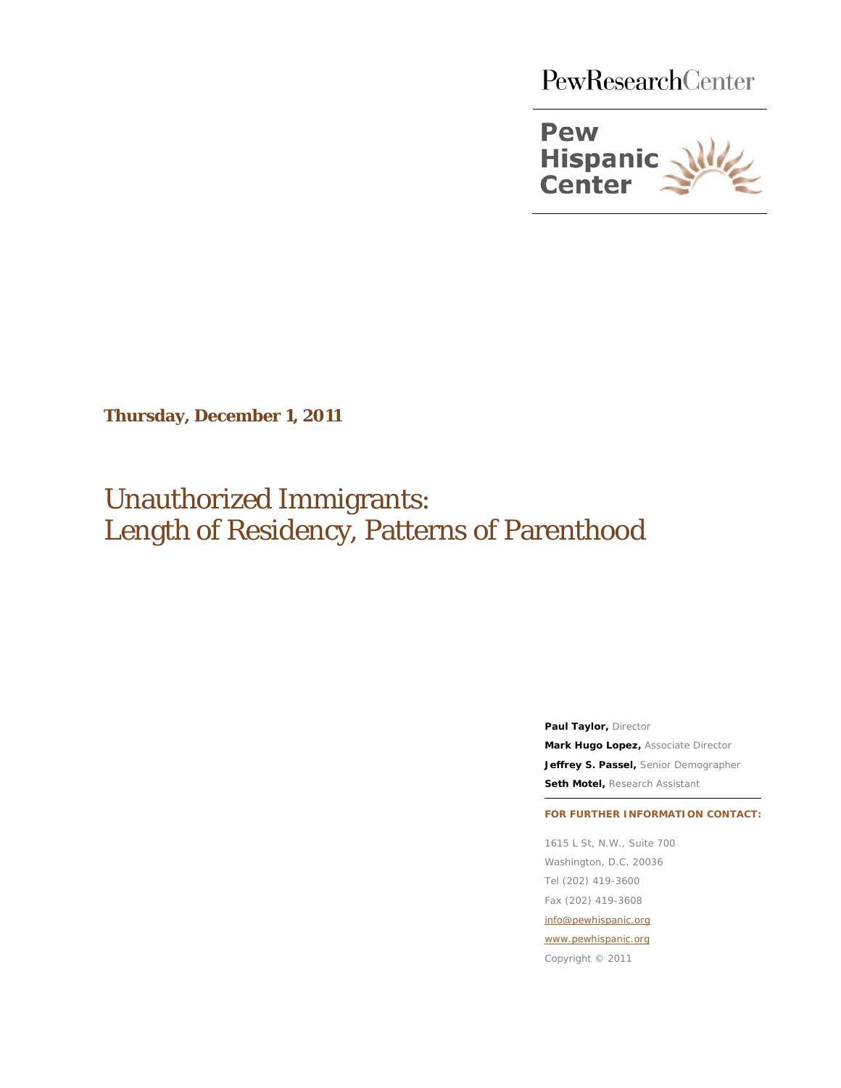PewResearchCenter



**Thursday, December 1, 2011**

Unauthorized Immigrants: Length of Residency, Patterns of Parenthood

> **Paul Taylor, Director Mark Hugo Lopez,** Associate Director **Jeffrey S. Passel,** Senior Demographer **Seth Motel,** Research Assistant

**FOR FURTHER INFORMATION CONTACT:**

1615 L St, N.W., Suite 700 Washington, D.C. 20036 Tel (202) 419-3600 Fax (202) 419-3608 [info@pewhispanic.org](mailto:info@pewhispanic.org) [www.pewhispanic.org](http://www.pewhispanic.org/)

Copyright © 2011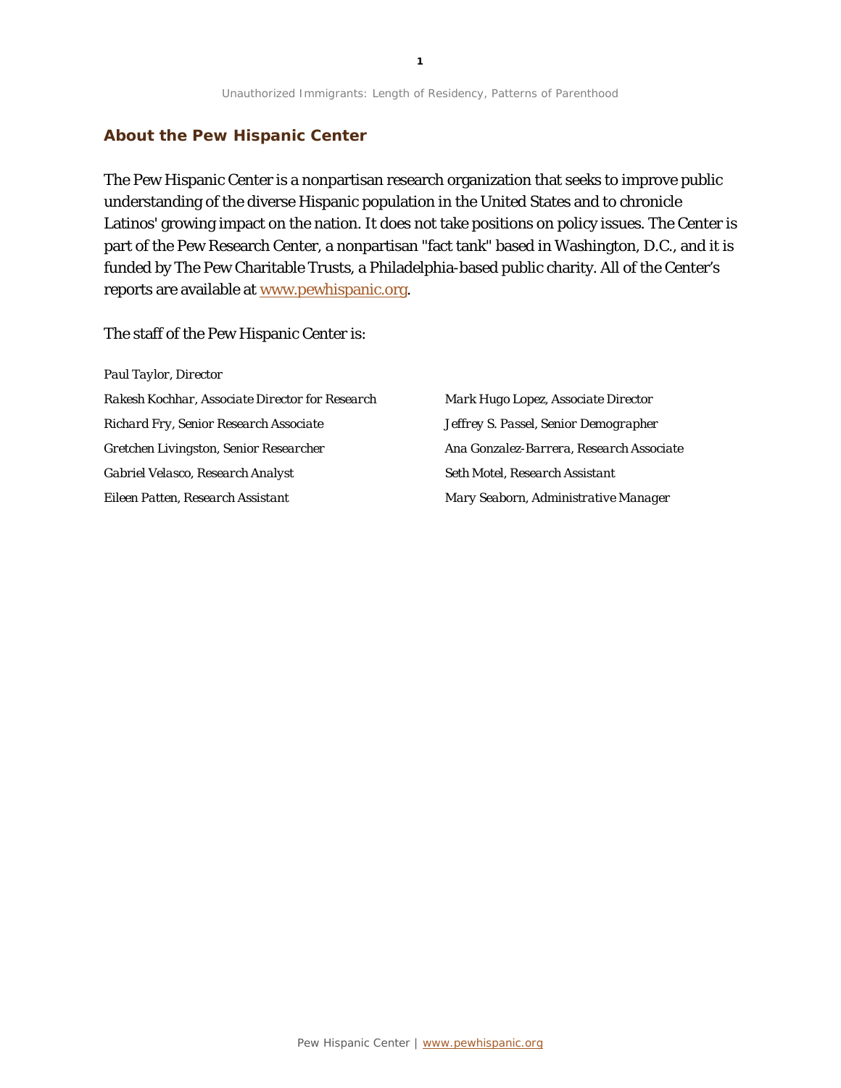#### **About the Pew Hispanic Center**

The Pew Hispanic Center is a nonpartisan research organization that seeks to improve public understanding of the diverse Hispanic population in the United States and to chronicle Latinos' growing impact on the nation. It does not take positions on policy issues. The Center is part of the Pew Research Center, a nonpartisan "fact tank" based in Washington, D.C., and it is funded by The Pew Charitable Trusts, a Philadelphia-based public charity. All of the Center's reports are available at www.pewhispanic.org.

The staff of the Pew Hispanic Center is:

*Paul Taylor, Director Rakesh Kochhar, Associate Director for Research Richard Fry, Senior Research Associate Gretchen Livingston, Senior Researcher Gabriel Velasco, Research Analyst Eileen Patten, Research Assistant*

*Mark Hugo Lopez, Associate Director Jeffrey S. Passel, Senior Demographer Ana Gonzalez-Barrera, Research Associate Seth Motel, Research Assistant Mary Seaborn, Administrative Manager*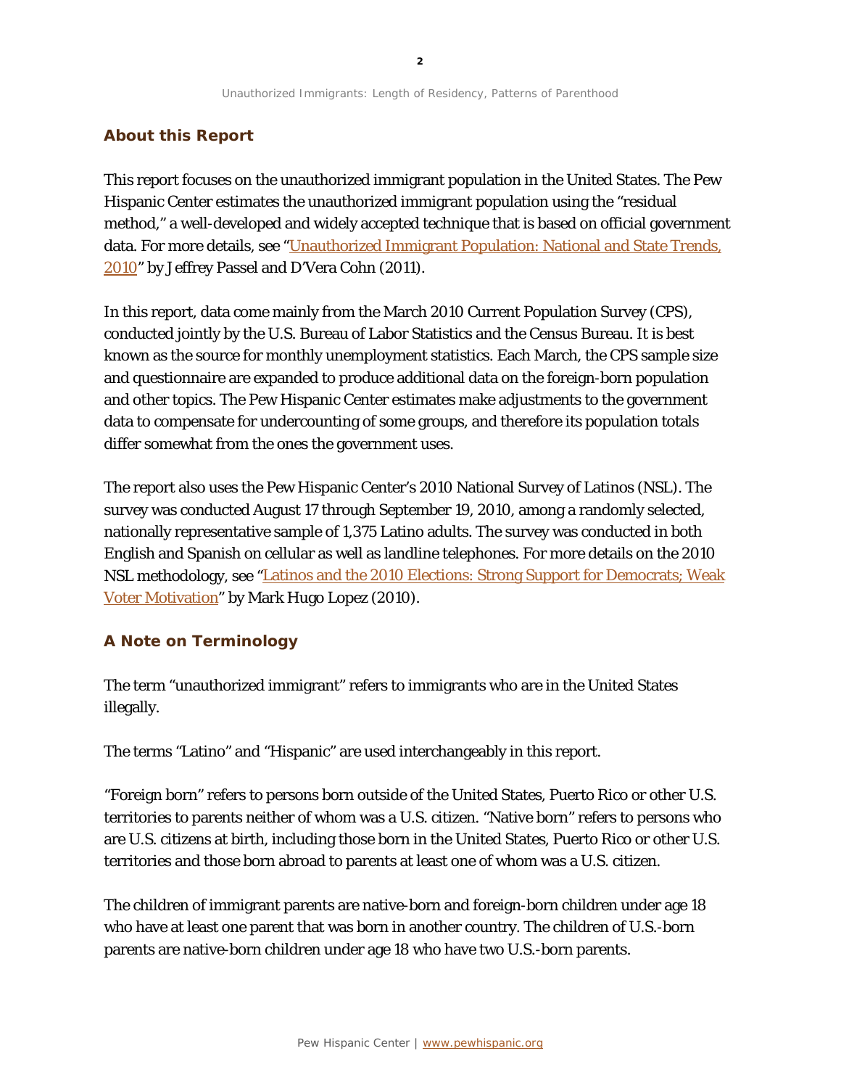#### **About this Report**

This report focuses on the unauthorized immigrant population in the United States. The Pew Hispanic Center estimates the unauthorized immigrant population using the "residual method," a well-developed and widely accepted technique that is based on official government data. For more details, see ["Unauthorized Immigrant Population: National and State Trends,](http://pewhispanic.org/reports/report.php?ReportID=133)  [2010"](http://pewhispanic.org/reports/report.php?ReportID=133) by Jeffrey Passel and D'Vera Cohn (2011).

In this report, data come mainly from the March 2010 Current Population Survey (CPS), conducted jointly by the U.S. Bureau of Labor Statistics and the Census Bureau. It is best known as the source for monthly unemployment statistics. Each March, the CPS sample size and questionnaire are expanded to produce additional data on the foreign-born population and other topics. The Pew Hispanic Center estimates make adjustments to the government data to compensate for undercounting of some groups, and therefore its population totals differ somewhat from the ones the government uses.

The report also uses the Pew Hispanic Center's 2010 National Survey of Latinos (NSL). The survey was conducted August 17 through September 19, 2010, among a randomly selected, nationally representative sample of 1,375 Latino adults. The survey was conducted in both English and Spanish on cellular as well as landline telephones. For more details on the 2010 NSL methodology, see ["Latinos and the 2010 Elections: Strong Support for Democrats; Weak](http://pewhispanic.org/reports/report.php?ReportID=127)  [Voter Motivation"](http://pewhispanic.org/reports/report.php?ReportID=127) by Mark Hugo Lopez (2010).

#### **A Note on Terminology**

The term "unauthorized immigrant" refers to immigrants who are in the United States illegally.

The terms "Latino" and "Hispanic" are used interchangeably in this report.

"Foreign born" refers to persons born outside of the United States, Puerto Rico or other U.S. territories to parents neither of whom was a U.S. citizen. "Native born" refers to persons who are U.S. citizens at birth, including those born in the United States, Puerto Rico or other U.S. territories and those born abroad to parents at least one of whom was a U.S. citizen.

The children of immigrant parents are native-born and foreign-born children under age 18 who have at least one parent that was born in another country. The children of U.S.-born parents are native-born children under age 18 who have two U.S.-born parents.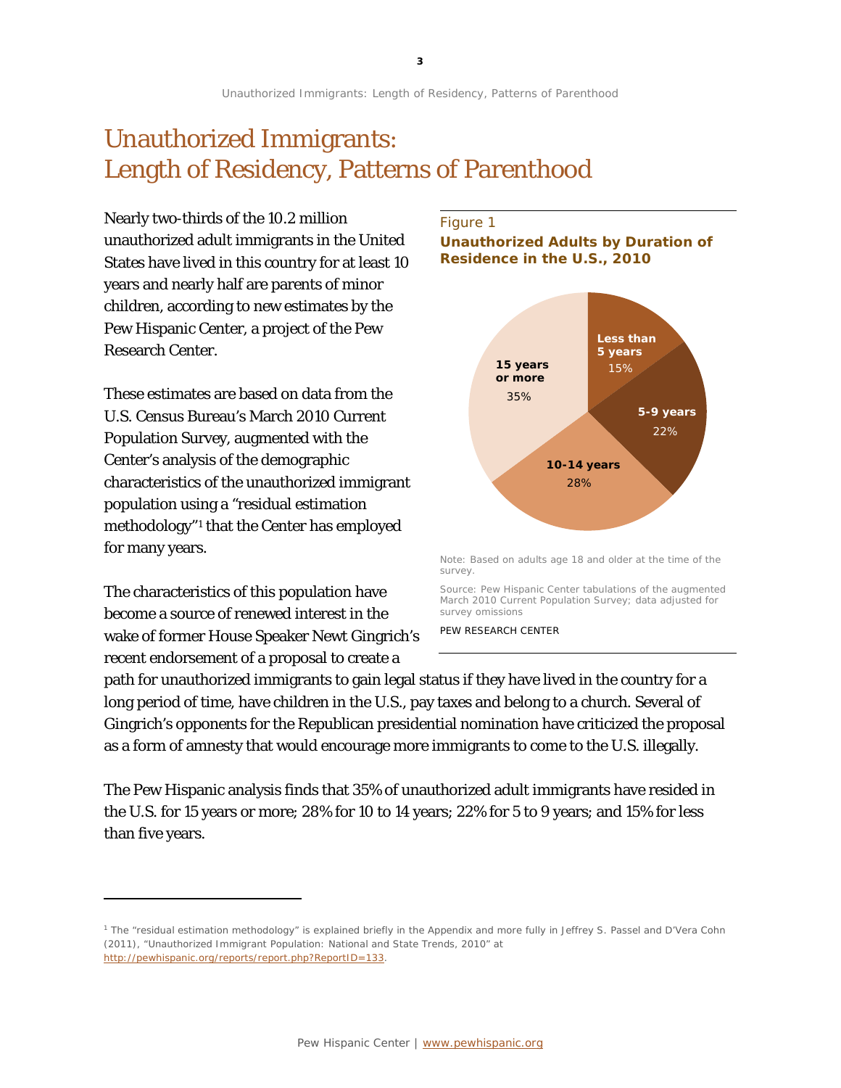# Unauthorized Immigrants: Length of Residency, Patterns of Parenthood

Nearly two-thirds of the 10.2 million unauthorized adult immigrants in the United States have lived in this country for at least 10 years and nearly half are parents of minor children, according to new estimates by the Pew Hispanic Center, a project of the Pew Research Center.

These estimates are based on data from the U.S. Census Bureau's March 2010 Current Population Survey, augmented with the Center's analysis of the demographic characteristics of the unauthorized immigrant population using a "residual estimation methodology"[1](#page-3-0) that the Center has employed for many years.

The characteristics of this population have become a source of renewed interest in the wake of former House Speaker Newt Gingrich's recent endorsement of a proposal to create a

l

### Figure 1 **Unauthorized Adults by Duration of Residence in the U.S., 2010**



Note: Based on adults age 18 and older at the time of the survey.

Source: Pew Hispanic Center tabulations of the augmented March 2010 Current Population Survey; data adjusted for survey omissions

PEW RESEARCH CENTER

path for unauthorized immigrants to gain legal status if they have lived in the country for a long period of time, have children in the U.S., pay taxes and belong to a church. Several of Gingrich's opponents for the Republican presidential nomination have criticized the proposal as a form of amnesty that would encourage more immigrants to come to the U.S. illegally.

The Pew Hispanic analysis finds that 35% of unauthorized adult immigrants have resided in the U.S. for 15 years or more; 28% for 10 to 14 years; 22% for 5 to 9 years; and 15% for less than five years.

<span id="page-3-0"></span><sup>1</sup> The "residual estimation methodology" is explained briefly in the Appendix and more fully in Jeffrey S. Passel and D'Vera Cohn (2011), "Unauthorized Immigrant Population: National and State Trends, 2010" at [http://pewhispanic.org/reports/report.php?ReportID=133.](http://pewhispanic.org/reports/report.php?ReportID=133)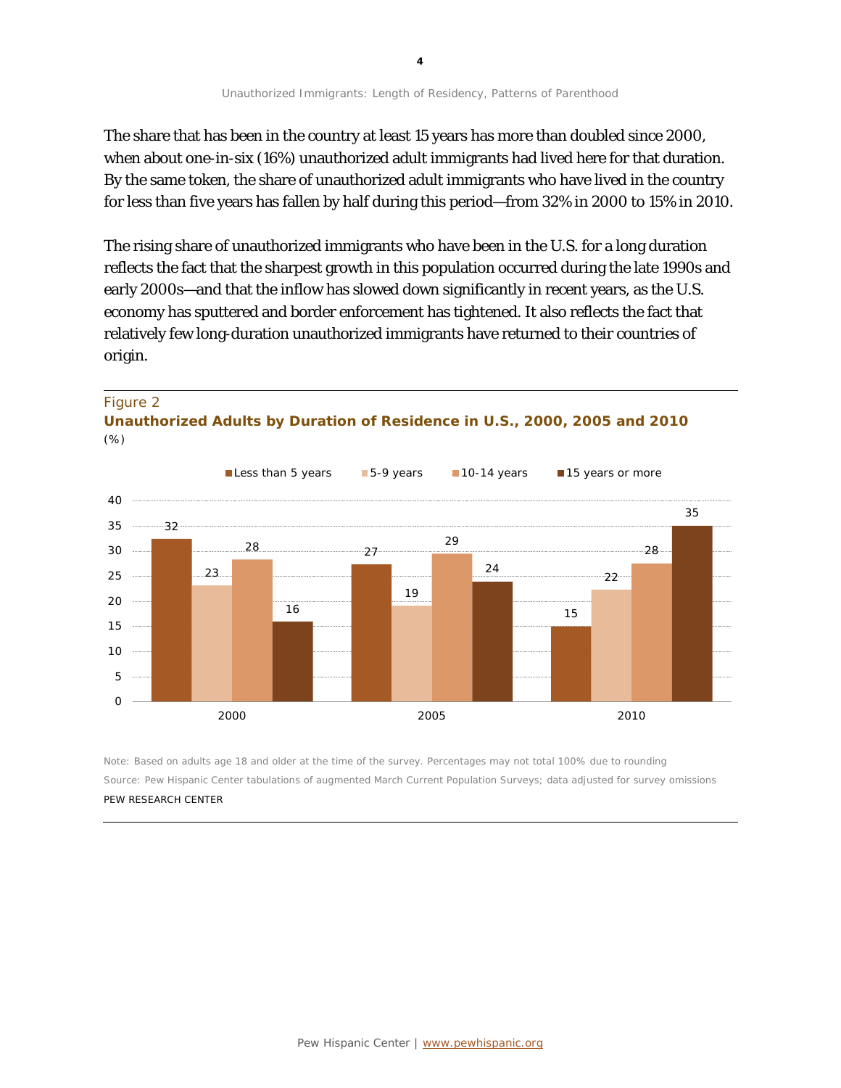The share that has been in the country at least 15 years has more than doubled since 2000, when about one-in-six (16%) unauthorized adult immigrants had lived here for that duration. By the same token, the share of unauthorized adult immigrants who have lived in the country for less than five years has fallen by half during this period—from 32% in 2000 to 15% in 2010.

The rising share of unauthorized immigrants who have been in the U.S. for a long duration reflects the fact that the sharpest growth in this population occurred during the late 1990s and early 2000s—and that the inflow has slowed down significantly in recent years, as the U.S. economy has sputtered and border enforcement has tightened. It also reflects the fact that relatively few long-duration unauthorized immigrants have returned to their countries of origin.

#### Figure 2

**Unauthorized Adults by Duration of Residence in U.S., 2000, 2005 and 2010** *(%)*



Note: Based on adults age 18 and older at the time of the survey. Percentages may not total 100% due to rounding Source: Pew Hispanic Center tabulations of augmented March Current Population Surveys; data adjusted for survey omissions PEW RESEARCH CENTER

**4**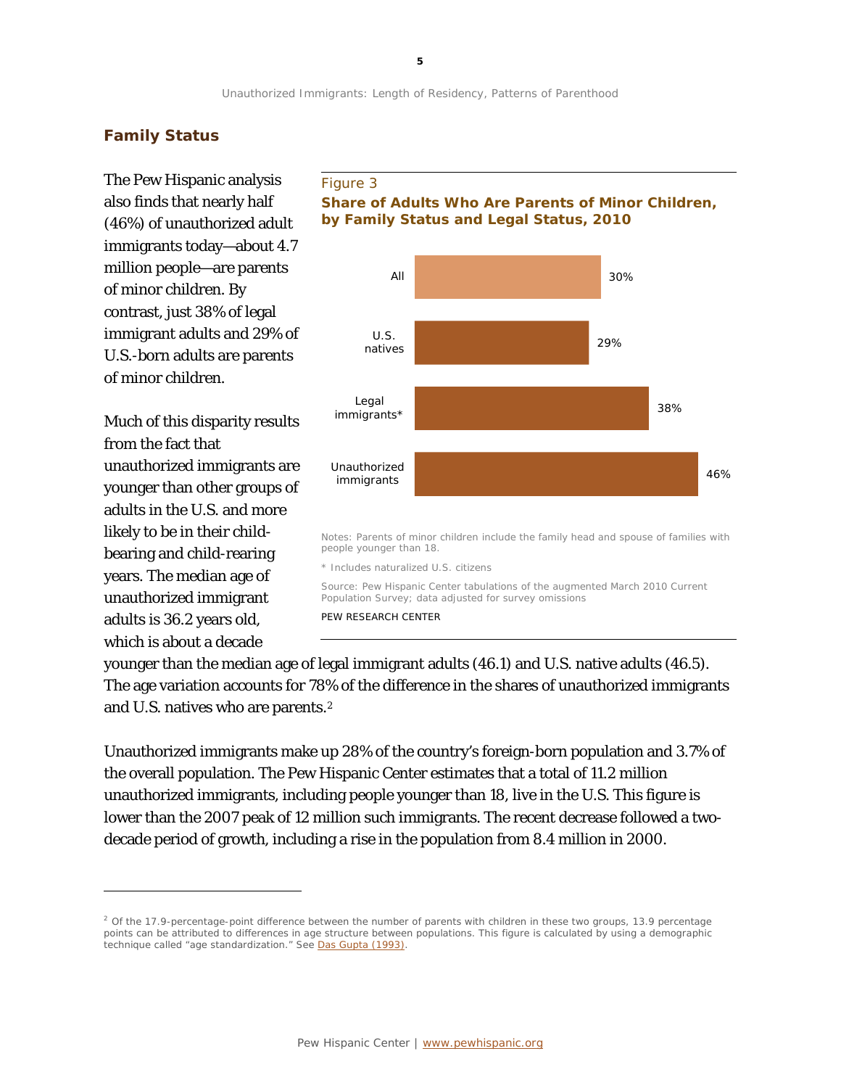## **Family Status**

The Pew Hispanic analysis also finds that nearly half (46%) of unauthorized adult immigrants today—about 4.7 million people—are parents of minor children. By contrast, just 38% of legal immigrant adults and 29% of U.S.-born adults are parents of minor children.

Much of this disparity results from the fact that unauthorized immigrants are younger than other groups of adults in the U.S. and more likely to be in their childbearing and child-rearing years. The median age of unauthorized immigrant adults is 36.2 years old, which is about a decade

1

#### Figure 3

### **Share of Adults Who Are Parents of Minor Children, by Family Status and Legal Status, 2010**



younger than the median age of legal immigrant adults (46.1) and U.S. native adults (46.5). The age variation accounts for 78% of the difference in the shares of unauthorized immigrants and U.S. natives who are parents.[2](#page-5-0)

Unauthorized immigrants make up 28% of the country's foreign-born population and 3.7% of the overall population. The Pew Hispanic Center estimates that a total of 11.2 million unauthorized immigrants, including people younger than 18, live in the U.S. This figure is lower than the 2007 peak of 12 million such immigrants. The recent decrease followed a twodecade period of growth, including a rise in the population from 8.4 million in 2000.

<span id="page-5-0"></span> $2$  Of the 17.9-percentage-point difference between the number of parents with children in these two groups, 13.9 percentage points can be attributed to differences in age structure between populations. This figure is calculated by using a demographic technique called "age standardization." See [Das Gupta \(1993\).](http://www.census.gov/popest/research/p23-186.pdf)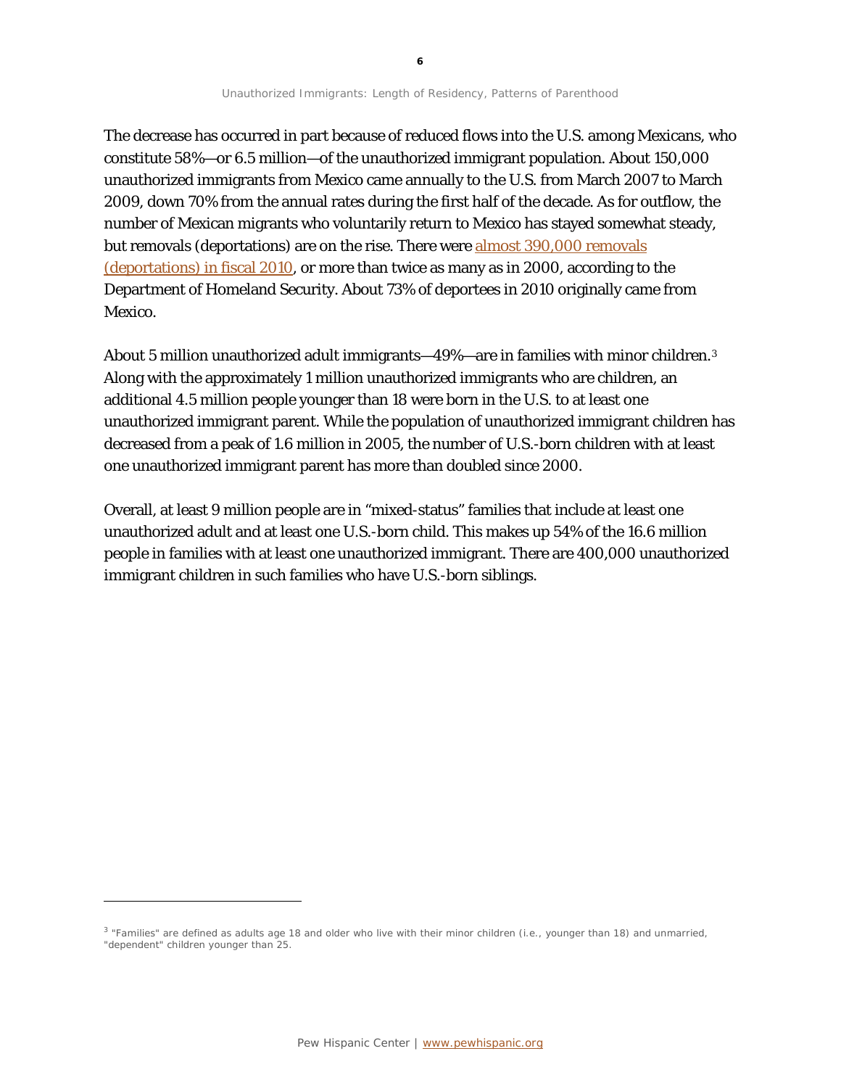The decrease has occurred in part because of reduced flows into the U.S. among Mexicans, who constitute 58%—or 6.5 million—of the unauthorized immigrant population. About 150,000 unauthorized immigrants from Mexico came annually to the U.S. from March 2007 to March 2009, down 70% from the annual rates during the first half of the decade. As for outflow, the number of Mexican migrants who voluntarily return to Mexico has stayed somewhat steady, but removals (deportations) are on the rise. There were [almost 390,000 removals](http://www.dhs.gov/files/statistics/publications/YrBk10En.shtm)  [\(deportations\) in fiscal 2010,](http://www.dhs.gov/files/statistics/publications/YrBk10En.shtm) or more than twice as many as in 2000, according to the Department of Homeland Security. About 73% of deportees in 2010 originally came from Mexico.

About 5 million unauthorized adult immigrants—49%—are in families with minor children.<sup>[3](#page-6-0)</sup> Along with the approximately 1 million unauthorized immigrants who are children, an additional 4.5 million people younger than 18 were born in the U.S. to at least one unauthorized immigrant parent. While the population of unauthorized immigrant children has decreased from a peak of 1.6 million in 2005, the number of U.S.-born children with at least one unauthorized immigrant parent has more than doubled since 2000.

Overall, at least 9 million people are in "mixed-status" families that include at least one unauthorized adult and at least one U.S.-born child. This makes up 54% of the 16.6 million people in families with at least one unauthorized immigrant. There are 400,000 unauthorized immigrant children in such families who have U.S.-born siblings.

1

<span id="page-6-0"></span><sup>&</sup>lt;sup>3</sup> "Families" are defined as adults age 18 and older who live with their minor children (i.e., younger than 18) and unmarried, "dependent" children younger than 25.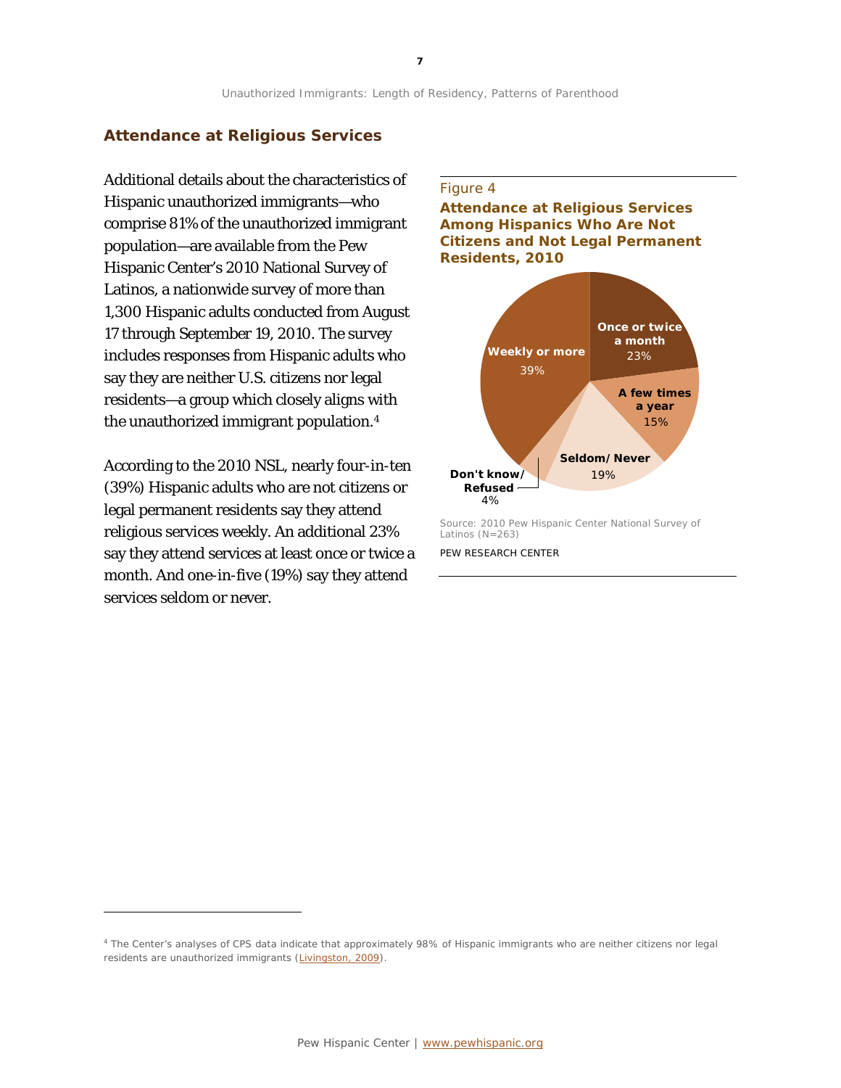#### **Attendance at Religious Services**

Additional details about the characteristics of Hispanic unauthorized immigrants—who comprise 81% of the unauthorized immigrant population—are available from the Pew Hispanic Center's 2010 National Survey of Latinos, a nationwide survey of more than 1,300 Hispanic adults conducted from August 17 through September 19, 2010. The survey includes responses from Hispanic adults who say they are neither U.S. citizens nor legal residents—a group which closely aligns with the unauthorized immigrant population.[4](#page-7-0)

According to the 2010 NSL, nearly four-in-ten (39%) Hispanic adults who are not citizens or legal permanent residents say they attend religious services weekly. An additional 23% say they attend services at least once or twice a month. And one-in-five (19%) say they attend services seldom or never.

1

#### Figure 4

**Attendance at Religious Services Among Hispanics Who Are Not Citizens and Not Legal Permanent Residents, 2010**



Source: 2010 Pew Hispanic Center National Survey of Latinos (N=263) PEW RESEARCH CENTER

<span id="page-7-0"></span><sup>4</sup> The Center's analyses of CPS data indicate that approximately 98% of Hispanic immigrants who are neither citizens nor legal residents are unauthorized immigrants [\(Livingston, 2009\)](http://pewhispanic.org/reports/report.php?ReportID=113).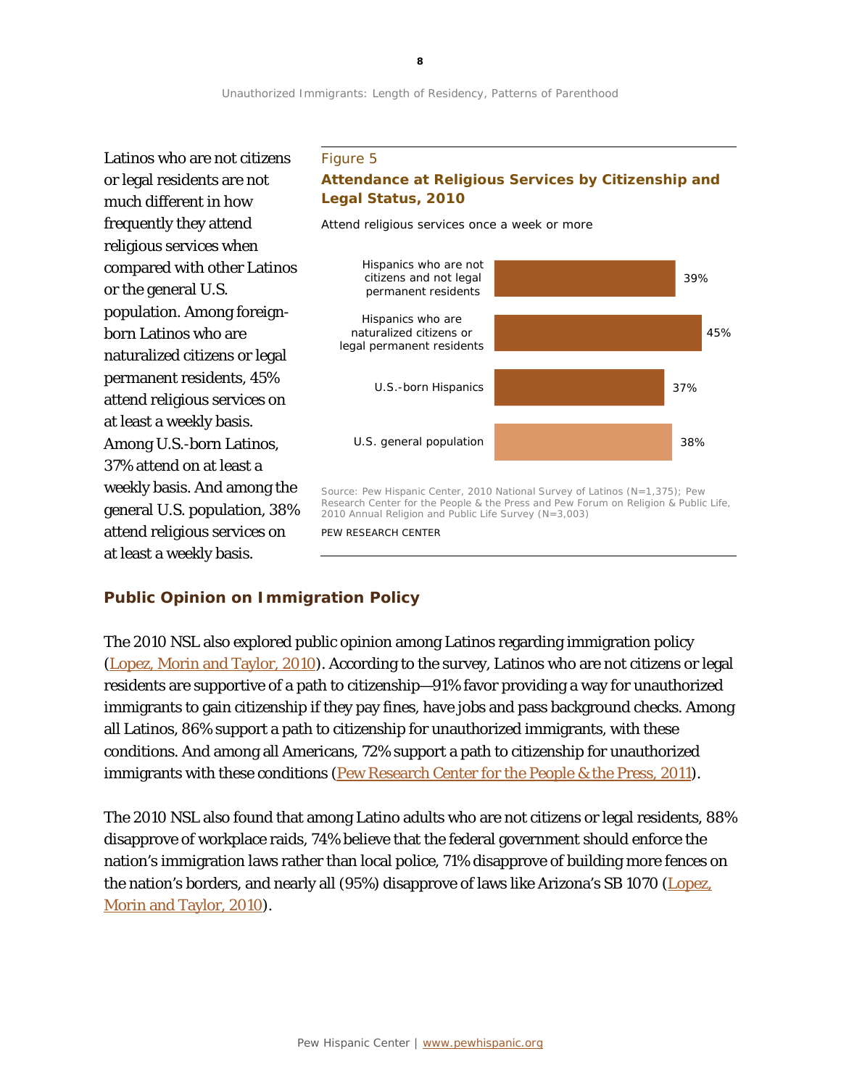*Attend religious services once a week or more*

Latinos who are not citizens or legal residents are not much different in how frequently they attend religious services when compared with other Latinos or the general U.S. population. Among foreignborn Latinos who are naturalized citizens or legal permanent residents, 45% attend religious services on at least a weekly basis. Among U.S.-born Latinos, 37% attend on at least a weekly basis. And among the general U.S. population, 38% attend religious services on at least a weekly basis.

#### Figure 5

### **Attendance at Religious Services by Citizenship and Legal Status, 2010**



Source: Pew Hispanic Center, 2010 National Survey of Latinos (N=1,375); Pew Research Center for the People & the Press and Pew Forum on Religion & Public Life, 2010 Annual Religion and Public Life Survey (N=3,003)

PEW RESEARCH CENTER

## **Public Opinion on Immigration Policy**

The 2010 NSL also explored public opinion among Latinos regarding immigration policy [\(Lopez, Morin](http://pewhispanic.org/reports/report.php?ReportID=128) and Taylor, 2010). According to the survey, Latinos who are not citizens or legal residents are supportive of a path to citizenship—91% favor providing a way for unauthorized immigrants to gain citizenship if they pay fines, have jobs and pass background checks. Among all Latinos, 86% support a path to citizenship for unauthorized immigrants, with these conditions. And among all Americans, 72% support a path to citizenship for unauthorized immigrants with these conditions [\(Pew Research Center for the People & the Press, 2011\)](http://www.people-press.org/2011/05/04/beyond-red-vs-blue-the-political-typology).

The 2010 NSL also found that among Latino adults who are not citizens or legal residents, 88% disapprove of workplace raids, 74% believe that the federal government should enforce the nation's immigration laws rather than local police, 71% disapprove of building more fences on the nation's borders, and nearly all (95%) disapprove of laws like Arizona's SB 1070 (Lopez, [Morin and Taylor, 2010\)](http://pewhispanic.org/reports/report.php?ReportID=128).

**8**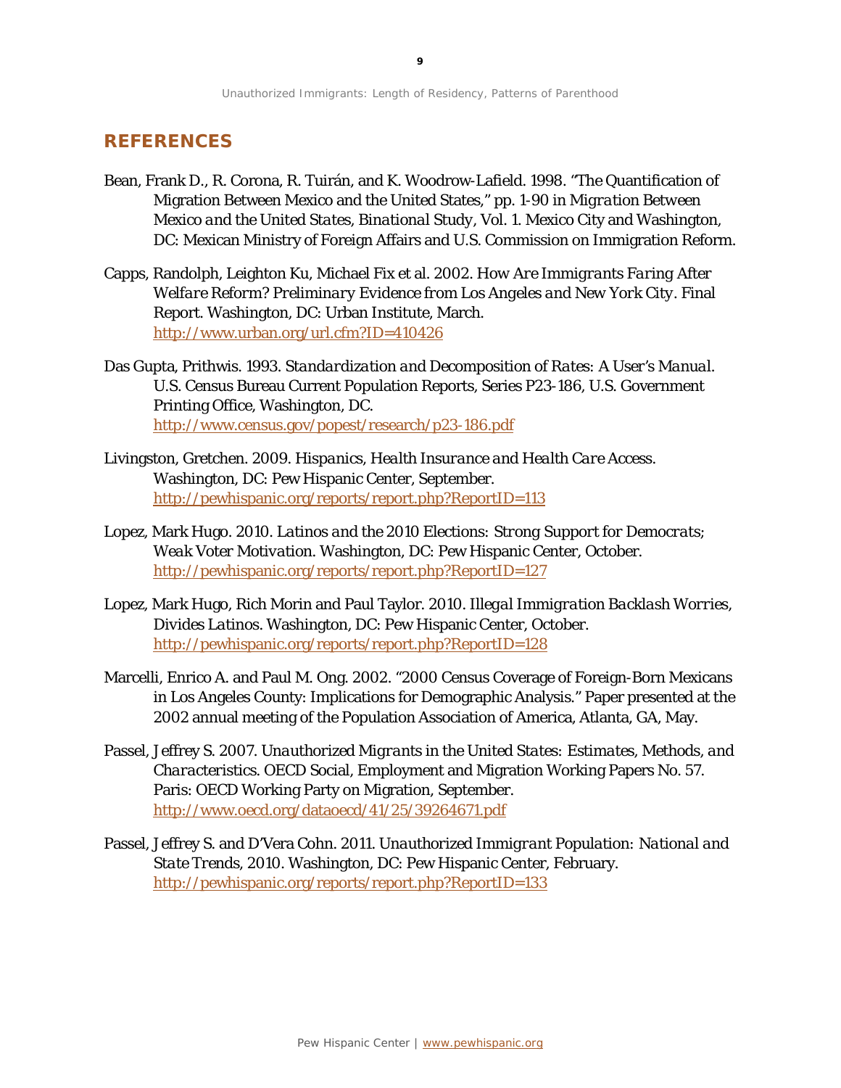### **REFERENCES**

- Bean, Frank D., R. Corona, R. Tuirán, and K. Woodrow-Lafield. 1998. "The Quantification of Migration Between Mexico and the United States," pp. 1-90 in *Migration Between Mexico and the United States, Binational Study, Vol. 1*. Mexico City and Washington, DC: Mexican Ministry of Foreign Affairs and U.S. Commission on Immigration Reform.
- Capps, Randolph, Leighton Ku, Michael Fix et al. 2002. *How Are Immigrants Faring After Welfare Reform? Preliminary Evidence from Los Angeles and New York City*. Final Report. Washington, DC: Urban Institute, March. <http://www.urban.org/url.cfm?ID=410426>
- Das Gupta, Prithwis. 1993. *Standardization and Decomposition of Rates: A User's Manual.* U.S. Census Bureau Current Population Reports, Series P23-186, U.S. Government Printing Office, Washington, DC. <http://www.census.gov/popest/research/p23-186.pdf>
- Livingston, Gretchen. 2009. *Hispanics, Health Insurance and Health Care Access*. Washington, DC: Pew Hispanic Center, September. <http://pewhispanic.org/reports/report.php?ReportID=113>
- Lopez, Mark Hugo. 2010. *Latinos and the 2010 Elections: Strong Support for Democrats; Weak Voter Motivation*. Washington, DC: Pew Hispanic Center, October. <http://pewhispanic.org/reports/report.php?ReportID=127>
- Lopez, Mark Hugo, Rich Morin and Paul Taylor. 2010. *Illegal Immigration Backlash Worries, Divides Latinos*. Washington, DC: Pew Hispanic Center, October. <http://pewhispanic.org/reports/report.php?ReportID=128>
- Marcelli, Enrico A. and Paul M. Ong. 2002. "2000 Census Coverage of Foreign-Born Mexicans in Los Angeles County: Implications for Demographic Analysis." Paper presented at the 2002 annual meeting of the Population Association of America, Atlanta, GA, May.
- Passel, Jeffrey S. 2007. *Unauthorized Migrants in the United States: Estimates, Methods, and Characteristics*. OECD Social, Employment and Migration Working Papers No. 57. Paris: OECD Working Party on Migration, September. <http://www.oecd.org/dataoecd/41/25/39264671.pdf>
- Passel, Jeffrey S. and D'Vera Cohn. 2011. *Unauthorized Immigrant Population: National and State Trends, 2010*. Washington, DC: Pew Hispanic Center, February. <http://pewhispanic.org/reports/report.php?ReportID=133>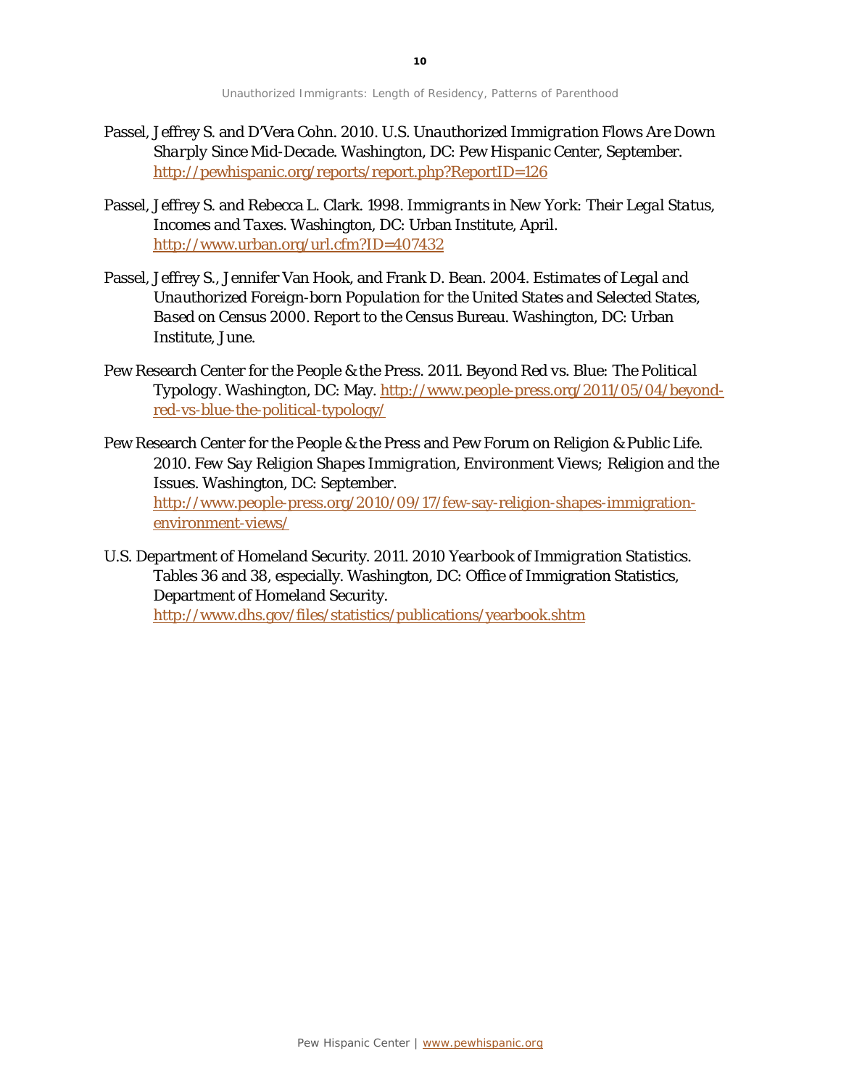- Passel, Jeffrey S. and D'Vera Cohn. 2010. *U.S. Unauthorized Immigration Flows Are Down Sharply Since Mid-Decade*. Washington, DC: Pew Hispanic Center, September. <http://pewhispanic.org/reports/report.php?ReportID=126>
- Passel, Jeffrey S. and Rebecca L. Clark. 1998. *Immigrants in New York: Their Legal Status, Incomes and Taxes*. Washington, DC: Urban Institute, April. <http://www.urban.org/url.cfm?ID=407432>
- Passel, Jeffrey S., Jennifer Van Hook, and Frank D. Bean. 2004. *Estimates of Legal and Unauthorized Foreign-born Population for the United States and Selected States, Based on Census 2000*. Report to the Census Bureau. Washington, DC: Urban Institute, June.
- Pew Research Center for the People & the Press. 2011. *Beyond Red vs. Blue: The Political Typology*. Washington, DC: May[. http://www.people-press.org/2011/05/04/beyond](http://www.people-press.org/2011/05/04/beyond-red-vs-blue-the-political-typology/)[red-vs-blue-the-political-typology/](http://www.people-press.org/2011/05/04/beyond-red-vs-blue-the-political-typology/)
- Pew Research Center for the People & the Press and Pew Forum on Religion & Public Life. 2010. *Few Say Religion Shapes Immigration, Environment Views; Religion and the Issues*. Washington, DC: September. [http://www.people-press.org/2010/09/17/few-say-religion-shapes-immigration](http://www.people-press.org/2010/09/17/few-say-religion-shapes-immigration-environment-views/)[environment-views/](http://www.people-press.org/2010/09/17/few-say-religion-shapes-immigration-environment-views/)
- U.S. Department of Homeland Security. 2011. *2010 Yearbook of Immigration Statistics*. Tables 36 and 38, especially. Washington, DC: Office of Immigration Statistics, Department of Homeland Security. <http://www.dhs.gov/files/statistics/publications/yearbook.shtm>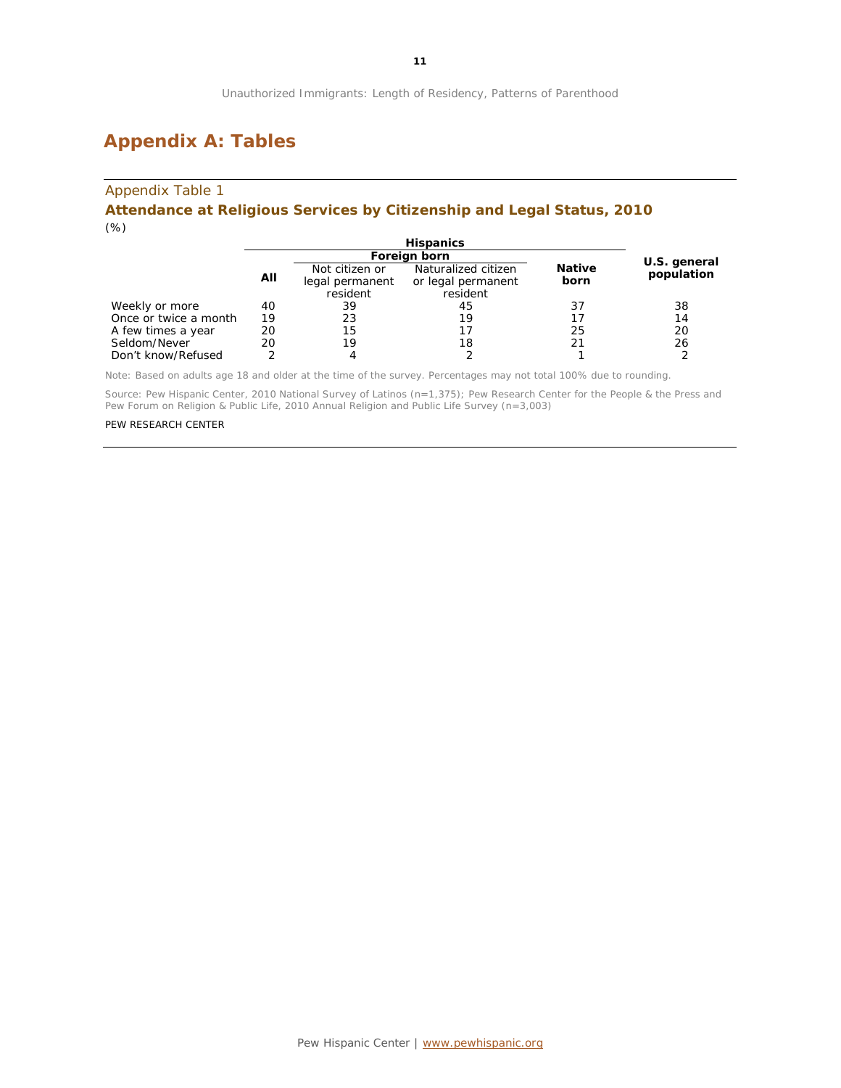# **Appendix A: Tables**

#### Appendix Table 1

#### **Attendance at Religious Services by Citizenship and Legal Status, 2010** *(%)*

|                       | <b>Hispanics</b> |                                               |                                                       |                       |              |
|-----------------------|------------------|-----------------------------------------------|-------------------------------------------------------|-----------------------|--------------|
|                       |                  | Foreign born                                  |                                                       |                       | U.S. general |
|                       | All              | Not citizen or<br>legal permanent<br>resident | Naturalized citizen<br>or legal permanent<br>resident | <b>Native</b><br>born | population   |
| Weekly or more        | 40               | 39                                            | 45                                                    | 37                    | 38           |
| Once or twice a month | 19               | 23                                            | 19                                                    |                       | 14           |
| A few times a year    | 20               | 15                                            | 17                                                    | 25                    | 20           |
| Seldom/Never          | 20               | 19                                            | 18                                                    |                       | 26           |
| Don't know/Refused    |                  | 4                                             |                                                       |                       |              |

Note: Based on adults age 18 and older at the time of the survey. Percentages may not total 100% due to rounding.

Source: Pew Hispanic Center, 2010 National Survey of Latinos (n=1,375); Pew Research Center for the People & the Press and Pew Forum on Religion & Public Life, 2010 Annual Religion and Public Life Survey (n=3,003)

#### PEW RESEARCH CENTER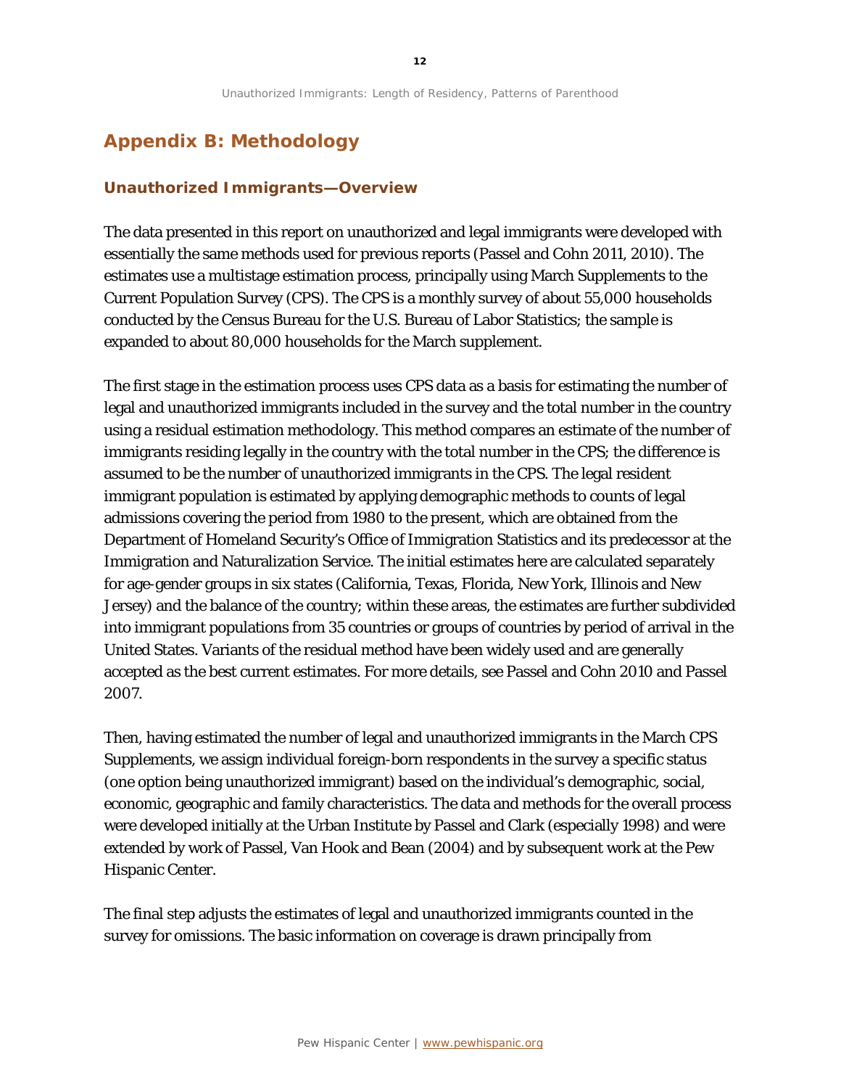# **Appendix B: Methodology**

#### **Unauthorized Immigrants—Overview**

The data presented in this report on unauthorized and legal immigrants were developed with essentially the same methods used for previous reports (Passel and Cohn 2011, 2010). The estimates use a multistage estimation process, principally using March Supplements to the Current Population Survey (CPS). The CPS is a monthly survey of about 55,000 households conducted by the Census Bureau for the U.S. Bureau of Labor Statistics; the sample is expanded to about 80,000 households for the March supplement.

The first stage in the estimation process uses CPS data as a basis for estimating the number of legal and unauthorized immigrants included in the survey and the total number in the country using a residual estimation methodology. This method compares an estimate of the number of immigrants residing legally in the country with the total number in the CPS; the difference is assumed to be the number of unauthorized immigrants in the CPS. The legal resident immigrant population is estimated by applying demographic methods to counts of legal admissions covering the period from 1980 to the present, which are obtained from the Department of Homeland Security's Office of Immigration Statistics and its predecessor at the Immigration and Naturalization Service. The initial estimates here are calculated separately for age-gender groups in six states (California, Texas, Florida, New York, Illinois and New Jersey) and the balance of the country; within these areas, the estimates are further subdivided into immigrant populations from 35 countries or groups of countries by period of arrival in the United States. Variants of the residual method have been widely used and are generally accepted as the best current estimates. For more details, see Passel and Cohn 2010 and Passel 2007.

Then, having estimated the number of legal and unauthorized immigrants in the March CPS Supplements, we assign individual foreign-born respondents in the survey a specific status (one option being unauthorized immigrant) based on the individual's demographic, social, economic, geographic and family characteristics. The data and methods for the overall process were developed initially at the Urban Institute by Passel and Clark (especially 1998) and were extended by work of Passel, Van Hook and Bean (2004) and by subsequent work at the Pew Hispanic Center.

The final step adjusts the estimates of legal and unauthorized immigrants counted in the survey for omissions. The basic information on coverage is drawn principally from